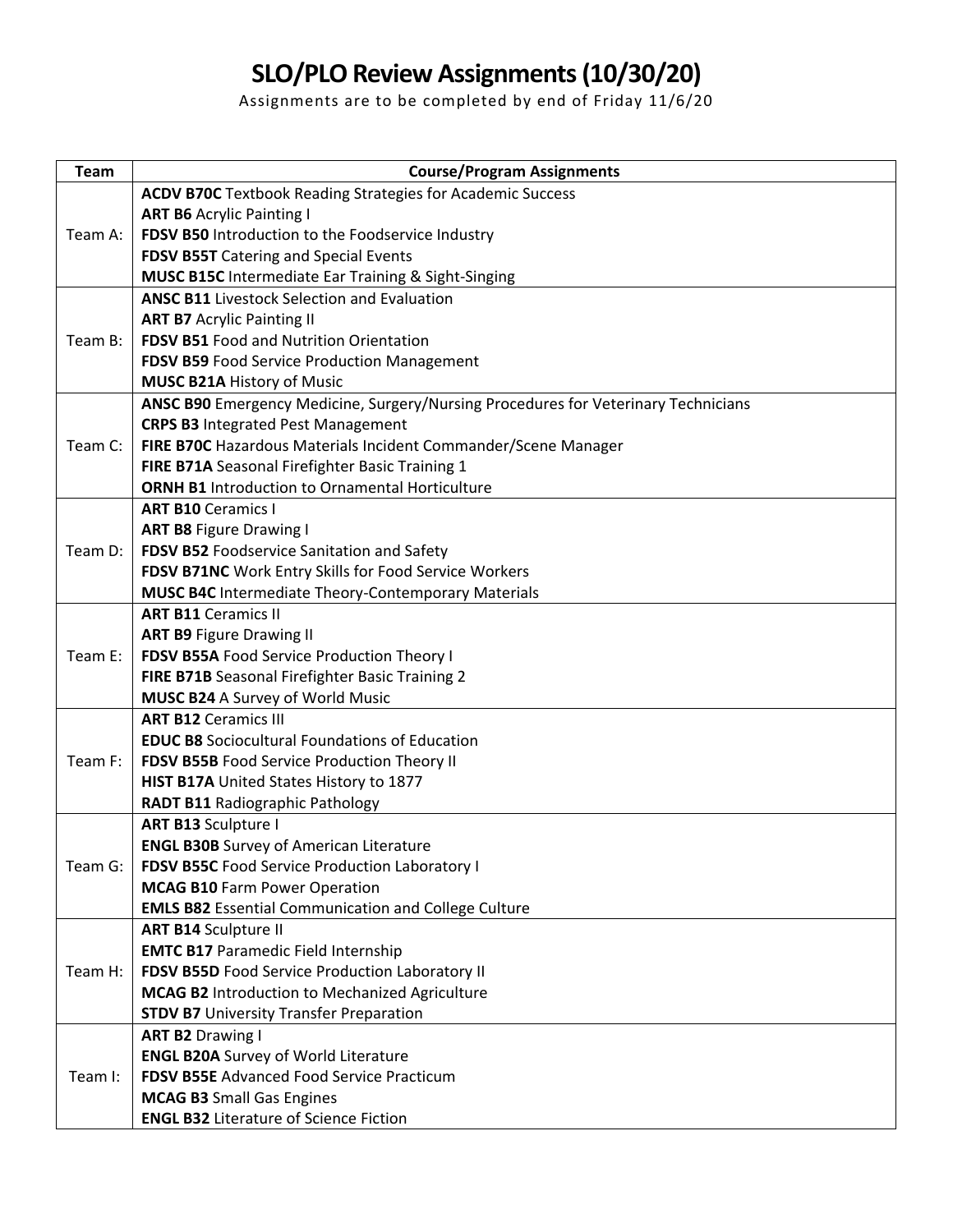## **SLO/PLO Review Assignments (10/30/20)**

Assignments are to be completed by end of Friday 11/6/20

| Team    | <b>Course/Program Assignments</b>                                                          |
|---------|--------------------------------------------------------------------------------------------|
| Team A: | <b>ACDV B70C</b> Textbook Reading Strategies for Academic Success                          |
|         | <b>ART B6 Acrylic Painting I</b>                                                           |
|         | FDSV B50 Introduction to the Foodservice Industry                                          |
|         | FDSV B55T Catering and Special Events                                                      |
|         | MUSC B15C Intermediate Ear Training & Sight-Singing                                        |
|         | <b>ANSC B11 Livestock Selection and Evaluation</b>                                         |
| Team B: | <b>ART B7 Acrylic Painting II</b>                                                          |
|         | <b>FDSV B51 Food and Nutrition Orientation</b>                                             |
|         | FDSV B59 Food Service Production Management                                                |
|         | <b>MUSC B21A History of Music</b>                                                          |
|         | ANSC B90 Emergency Medicine, Surgery/Nursing Procedures for Veterinary Technicians         |
|         | <b>CRPS B3 Integrated Pest Management</b>                                                  |
| Team C: | FIRE B70C Hazardous Materials Incident Commander/Scene Manager                             |
|         | FIRE B71A Seasonal Firefighter Basic Training 1                                            |
|         | <b>ORNH B1</b> Introduction to Ornamental Horticulture                                     |
|         | <b>ART B10 Ceramics I</b>                                                                  |
|         | <b>ART B8 Figure Drawing I</b>                                                             |
| Team D: | FDSV B52 Foodservice Sanitation and Safety                                                 |
|         | FDSV B71NC Work Entry Skills for Food Service Workers                                      |
|         | <b>MUSC B4C</b> Intermediate Theory-Contemporary Materials                                 |
| Team E: | <b>ART B11 Ceramics II</b>                                                                 |
|         | <b>ART B9 Figure Drawing II</b>                                                            |
|         | FDSV B55A Food Service Production Theory I                                                 |
|         | FIRE B71B Seasonal Firefighter Basic Training 2                                            |
|         | <b>MUSC B24 A Survey of World Music</b>                                                    |
| Team F: | <b>ART B12 Ceramics III</b>                                                                |
|         | <b>EDUC B8</b> Sociocultural Foundations of Education                                      |
|         | FDSV B55B Food Service Production Theory II                                                |
|         | HIST B17A United States History to 1877                                                    |
|         | <b>RADT B11 Radiographic Pathology</b>                                                     |
| Team G: | <b>ART B13 Sculpture I</b>                                                                 |
|         | <b>ENGL B30B</b> Survey of American Literature                                             |
|         | FDSV B55C Food Service Production Laboratory I                                             |
|         | <b>MCAG B10 Farm Power Operation</b>                                                       |
|         | <b>EMLS B82</b> Essential Communication and College Culture<br><b>ART B14 Sculpture II</b> |
| Team H: | <b>EMTC B17 Paramedic Field Internship</b>                                                 |
|         | FDSV B55D Food Service Production Laboratory II                                            |
|         | <b>MCAG B2</b> Introduction to Mechanized Agriculture                                      |
|         | <b>STDV B7</b> University Transfer Preparation                                             |
| Team I: | <b>ART B2 Drawing I</b>                                                                    |
|         | <b>ENGL B20A Survey of World Literature</b>                                                |
|         | <b>FDSV B55E Advanced Food Service Practicum</b>                                           |
|         | <b>MCAG B3</b> Small Gas Engines                                                           |
|         | <b>ENGL B32 Literature of Science Fiction</b>                                              |